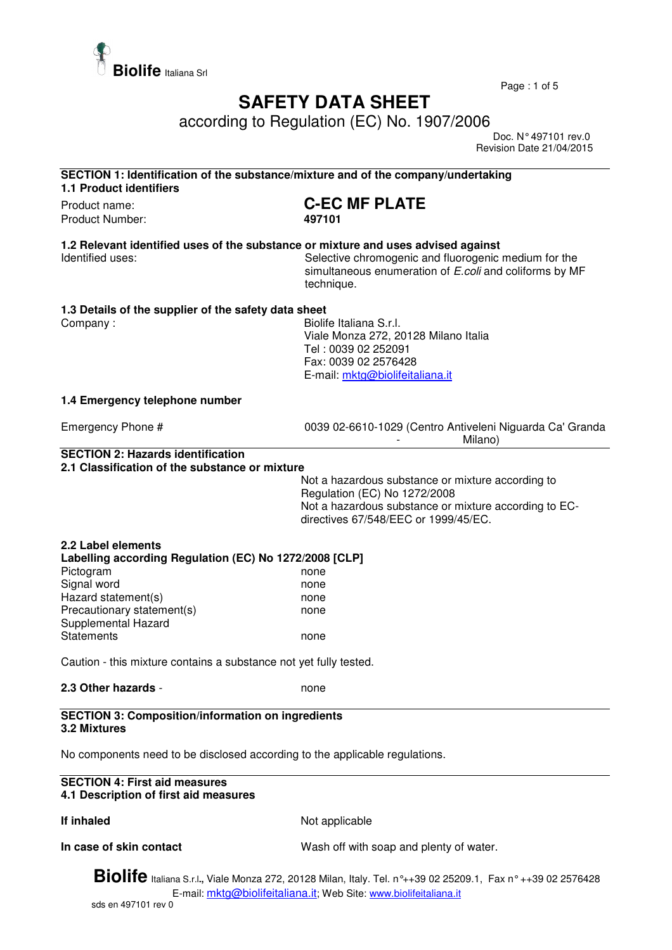

Page : 1 of 5

## **SAFETY DATA SHEET**

according to Regulation (EC) No. 1907/2006

 Doc. N° 497101 rev.0 Revision Date 21/04/2015

| SECTION 1: Identification of the substance/mixture and of the company/undertaking<br><b>1.1 Product identifiers</b>                                                                      |                                                                                                                                                                                    |  |
|------------------------------------------------------------------------------------------------------------------------------------------------------------------------------------------|------------------------------------------------------------------------------------------------------------------------------------------------------------------------------------|--|
| Product name:<br>Product Number:                                                                                                                                                         | <b>C-EC MF PLATE</b><br>497101                                                                                                                                                     |  |
| 1.2 Relevant identified uses of the substance or mixture and uses advised against<br>Identified uses:                                                                                    | Selective chromogenic and fluorogenic medium for the<br>simultaneous enumeration of E.coli and coliforms by MF<br>technique.                                                       |  |
| 1.3 Details of the supplier of the safety data sheet<br>Company:                                                                                                                         | Biolife Italiana S.r.I.<br>Viale Monza 272, 20128 Milano Italia<br>Tel: 0039 02 252091<br>Fax: 0039 02 2576428<br>E-mail: mktg@biolifeitaliana.it                                  |  |
| 1.4 Emergency telephone number                                                                                                                                                           |                                                                                                                                                                                    |  |
| Emergency Phone #                                                                                                                                                                        | 0039 02-6610-1029 (Centro Antiveleni Niguarda Ca' Granda<br>Milano)                                                                                                                |  |
| <b>SECTION 2: Hazards identification</b>                                                                                                                                                 |                                                                                                                                                                                    |  |
| 2.1 Classification of the substance or mixture                                                                                                                                           | Not a hazardous substance or mixture according to<br>Regulation (EC) No 1272/2008<br>Not a hazardous substance or mixture according to EC-<br>directives 67/548/EEC or 1999/45/EC. |  |
| 2.2 Label elements<br>Labelling according Regulation (EC) No 1272/2008 [CLP]                                                                                                             |                                                                                                                                                                                    |  |
| Pictogram<br>Signal word                                                                                                                                                                 | none                                                                                                                                                                               |  |
| Hazard statement(s)                                                                                                                                                                      | none<br>none                                                                                                                                                                       |  |
| Precautionary statement(s)                                                                                                                                                               | none                                                                                                                                                                               |  |
| Supplemental Hazard<br><b>Statements</b>                                                                                                                                                 | none                                                                                                                                                                               |  |
| Caution - this mixture contains a substance not yet fully tested.                                                                                                                        |                                                                                                                                                                                    |  |
| 2.3 Other hazards -                                                                                                                                                                      | none                                                                                                                                                                               |  |
| <b>SECTION 3: Composition/information on ingredients</b><br>3.2 Mixtures                                                                                                                 |                                                                                                                                                                                    |  |
| No components need to be disclosed according to the applicable regulations.                                                                                                              |                                                                                                                                                                                    |  |
| <b>SECTION 4: First aid measures</b><br>4.1 Description of first aid measures                                                                                                            |                                                                                                                                                                                    |  |
| If inhaled                                                                                                                                                                               | Not applicable                                                                                                                                                                     |  |
| In case of skin contact                                                                                                                                                                  | Wash off with soap and plenty of water.                                                                                                                                            |  |
| <b>Biolife</b> Italiana S.r.l., Viale Monza 272, 20128 Milan, Italy. Tel. n°++39 02 25209.1, Fax n° ++39 02 2576428<br>E-mail: mktg@biolifeitaliana.it; Web Site: www.biolifeitaliana.it |                                                                                                                                                                                    |  |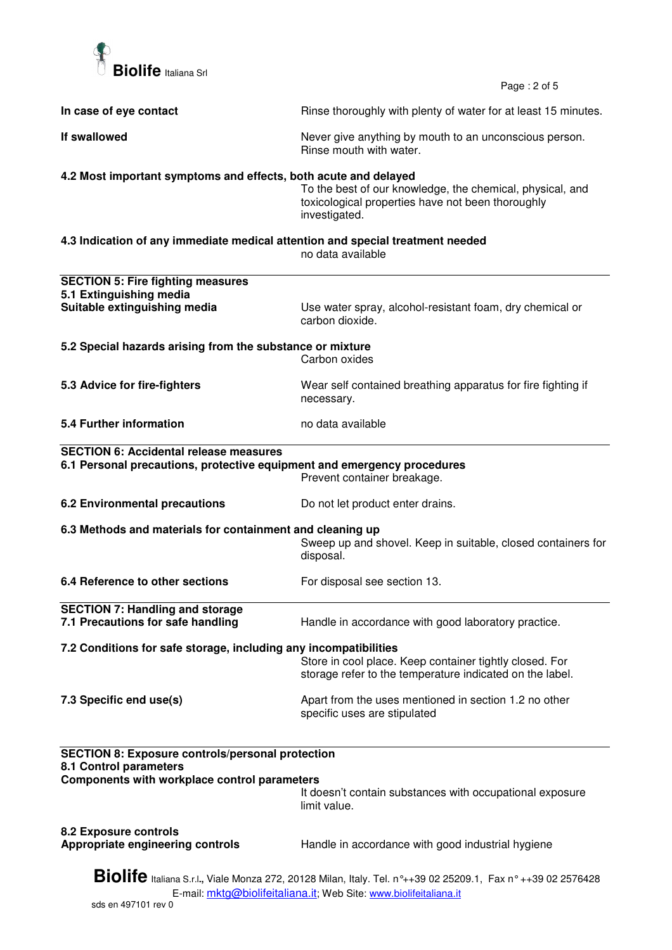

Page : 2 of 5

| In case of eye contact                                                                                                                                                                   | Rinse thoroughly with plenty of water for at least 15 minutes.                                                                  |  |
|------------------------------------------------------------------------------------------------------------------------------------------------------------------------------------------|---------------------------------------------------------------------------------------------------------------------------------|--|
| If swallowed                                                                                                                                                                             | Never give anything by mouth to an unconscious person.<br>Rinse mouth with water.                                               |  |
| 4.2 Most important symptoms and effects, both acute and delayed                                                                                                                          | To the best of our knowledge, the chemical, physical, and<br>toxicological properties have not been thoroughly<br>investigated. |  |
| 4.3 Indication of any immediate medical attention and special treatment needed                                                                                                           | no data available                                                                                                               |  |
| <b>SECTION 5: Fire fighting measures</b><br>5.1 Extinguishing media<br>Suitable extinguishing media                                                                                      | Use water spray, alcohol-resistant foam, dry chemical or<br>carbon dioxide.                                                     |  |
| 5.2 Special hazards arising from the substance or mixture                                                                                                                                | Carbon oxides                                                                                                                   |  |
| 5.3 Advice for fire-fighters                                                                                                                                                             | Wear self contained breathing apparatus for fire fighting if<br>necessary.                                                      |  |
| <b>5.4 Further information</b>                                                                                                                                                           | no data available                                                                                                               |  |
| <b>SECTION 6: Accidental release measures</b><br>6.1 Personal precautions, protective equipment and emergency procedures                                                                 | Prevent container breakage.                                                                                                     |  |
| 6.2 Environmental precautions                                                                                                                                                            | Do not let product enter drains.                                                                                                |  |
| 6.3 Methods and materials for containment and cleaning up                                                                                                                                | Sweep up and shovel. Keep in suitable, closed containers for<br>disposal.                                                       |  |
| 6.4 Reference to other sections                                                                                                                                                          | For disposal see section 13.                                                                                                    |  |
| <b>SECTION 7: Handling and storage</b><br>7.1 Precautions for safe handling                                                                                                              | Handle in accordance with good laboratory practice.                                                                             |  |
| 7.2 Conditions for safe storage, including any incompatibilities                                                                                                                         | Store in cool place. Keep container tightly closed. For<br>storage refer to the temperature indicated on the label.             |  |
| 7.3 Specific end use(s)                                                                                                                                                                  | Apart from the uses mentioned in section 1.2 no other<br>specific uses are stipulated                                           |  |
| <b>SECTION 8: Exposure controls/personal protection</b><br>8.1 Control parameters                                                                                                        |                                                                                                                                 |  |
| Components with workplace control parameters                                                                                                                                             | It doesn't contain substances with occupational exposure<br>limit value.                                                        |  |
| <b>8.2 Exposure controls</b><br>Appropriate engineering controls                                                                                                                         | Handle in accordance with good industrial hygiene                                                                               |  |
| <b>Biolife</b> Italiana S.r.l., Viale Monza 272, 20128 Milan, Italy. Tel. n°++39 02 25209.1, Fax n° ++39 02 2576428<br>E-mail: mktg@biolifeitaliana.it; Web Site: www.biolifeitaliana.it |                                                                                                                                 |  |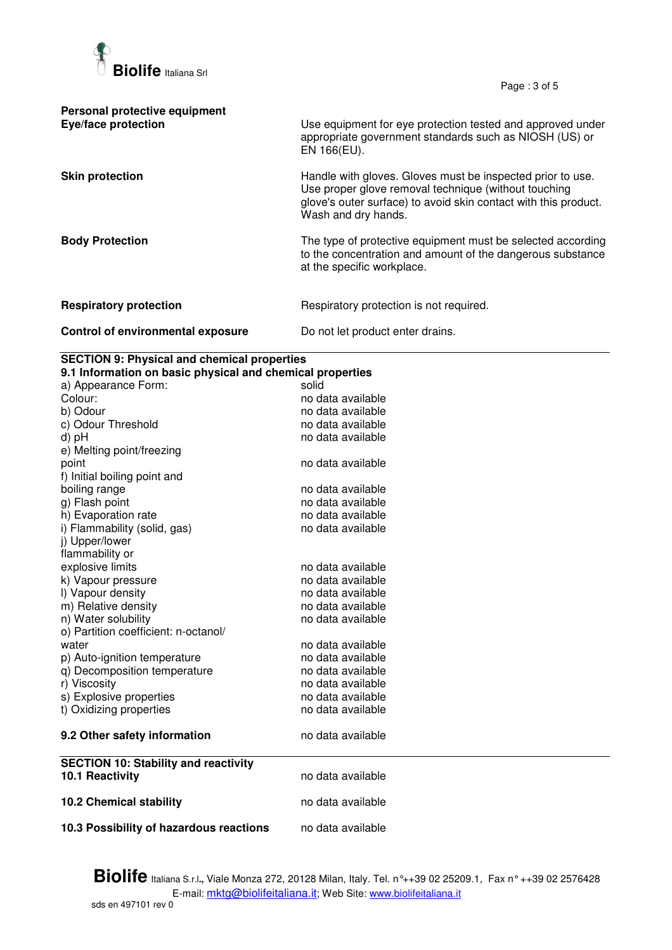

Page : 3 of 5

| Personal protective equipment<br>Eye/face protection | Use equipment for eye protection tested and approved under<br>appropriate government standards such as NIOSH (US) or<br>EN 166(EU).                                                                          |
|------------------------------------------------------|--------------------------------------------------------------------------------------------------------------------------------------------------------------------------------------------------------------|
| <b>Skin protection</b>                               | Handle with gloves. Gloves must be inspected prior to use.<br>Use proper glove removal technique (without touching<br>glove's outer surface) to avoid skin contact with this product.<br>Wash and dry hands. |
| <b>Body Protection</b>                               | The type of protective equipment must be selected according<br>to the concentration and amount of the dangerous substance<br>at the specific workplace.                                                      |
| <b>Respiratory protection</b>                        | Respiratory protection is not required.                                                                                                                                                                      |
| Control of environmental exposure                    | Do not let product enter drains.                                                                                                                                                                             |

## **SECTION 9: Physical and chemical properties**

| 9.1 Information on basic physical and chemical properties      |                   |  |
|----------------------------------------------------------------|-------------------|--|
| a) Appearance Form:                                            | solid             |  |
| Colour:                                                        | no data available |  |
| b) Odour                                                       | no data available |  |
| c) Odour Threshold                                             | no data available |  |
| d) pH                                                          | no data available |  |
| e) Melting point/freezing                                      |                   |  |
| point                                                          | no data available |  |
| f) Initial boiling point and                                   |                   |  |
| boiling range                                                  | no data available |  |
| g) Flash point                                                 | no data available |  |
| h) Evaporation rate                                            | no data available |  |
| i) Flammability (solid, gas)                                   | no data available |  |
| j) Upper/lower                                                 |                   |  |
| flammability or                                                |                   |  |
| explosive limits                                               | no data available |  |
| k) Vapour pressure                                             | no data available |  |
| I) Vapour density                                              | no data available |  |
| m) Relative density                                            | no data available |  |
| n) Water solubility                                            | no data available |  |
| o) Partition coefficient: n-octanol/                           |                   |  |
| water                                                          | no data available |  |
| p) Auto-ignition temperature                                   | no data available |  |
| q) Decomposition temperature                                   | no data available |  |
| r) Viscosity                                                   | no data available |  |
| s) Explosive properties                                        | no data available |  |
| t) Oxidizing properties                                        | no data available |  |
| 9.2 Other safety information                                   | no data available |  |
| <b>SECTION 10: Stability and reactivity</b><br>10.1 Reactivity | no data available |  |
|                                                                |                   |  |
| <b>10.2 Chemical stability</b>                                 | no data available |  |
| 10.3 Possibility of hazardous reactions                        | no data available |  |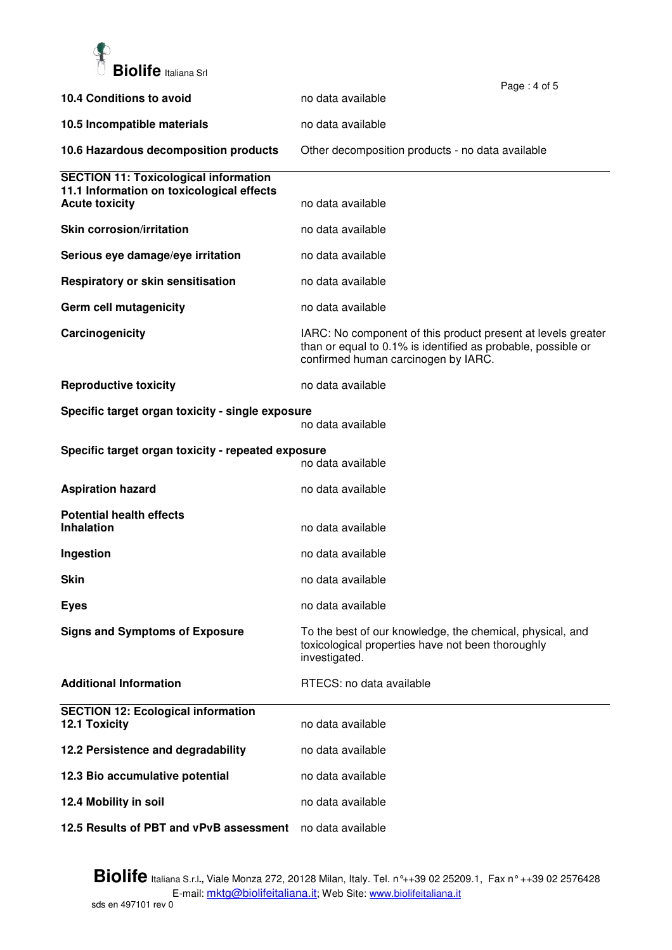

|                                                                    |                                                                                                                                                                     | Page: 4 of 5 |
|--------------------------------------------------------------------|---------------------------------------------------------------------------------------------------------------------------------------------------------------------|--------------|
| 10.4 Conditions to avoid                                           | no data available                                                                                                                                                   |              |
| 10.5 Incompatible materials                                        | no data available                                                                                                                                                   |              |
| 10.6 Hazardous decomposition products                              | Other decomposition products - no data available                                                                                                                    |              |
| <b>SECTION 11: Toxicological information</b>                       |                                                                                                                                                                     |              |
| 11.1 Information on toxicological effects<br><b>Acute toxicity</b> | no data available                                                                                                                                                   |              |
| <b>Skin corrosion/irritation</b>                                   | no data available                                                                                                                                                   |              |
| Serious eye damage/eye irritation                                  | no data available                                                                                                                                                   |              |
| Respiratory or skin sensitisation                                  | no data available                                                                                                                                                   |              |
| Germ cell mutagenicity                                             | no data available                                                                                                                                                   |              |
| Carcinogenicity                                                    | IARC: No component of this product present at levels greater<br>than or equal to 0.1% is identified as probable, possible or<br>confirmed human carcinogen by IARC. |              |
| <b>Reproductive toxicity</b>                                       | no data available                                                                                                                                                   |              |
| Specific target organ toxicity - single exposure                   | no data available                                                                                                                                                   |              |
| Specific target organ toxicity - repeated exposure                 | no data available                                                                                                                                                   |              |
| <b>Aspiration hazard</b>                                           | no data available                                                                                                                                                   |              |
| <b>Potential health effects</b><br><b>Inhalation</b>               | no data available                                                                                                                                                   |              |
|                                                                    |                                                                                                                                                                     |              |
| Ingestion                                                          | no data available                                                                                                                                                   |              |
| <b>Skin</b>                                                        | no data available                                                                                                                                                   |              |
| <b>Eyes</b>                                                        | no data available                                                                                                                                                   |              |
| <b>Signs and Symptoms of Exposure</b>                              | To the best of our knowledge, the chemical, physical, and<br>toxicological properties have not been thoroughly<br>investigated.                                     |              |
| <b>Additional Information</b>                                      | RTECS: no data available                                                                                                                                            |              |
| <b>SECTION 12: Ecological information</b><br>12.1 Toxicity         | no data available                                                                                                                                                   |              |
| 12.2 Persistence and degradability                                 | no data available                                                                                                                                                   |              |
| 12.3 Bio accumulative potential                                    | no data available                                                                                                                                                   |              |
| 12.4 Mobility in soil                                              | no data available                                                                                                                                                   |              |
| 12.5 Results of PBT and vPvB assessment                            | no data available                                                                                                                                                   |              |